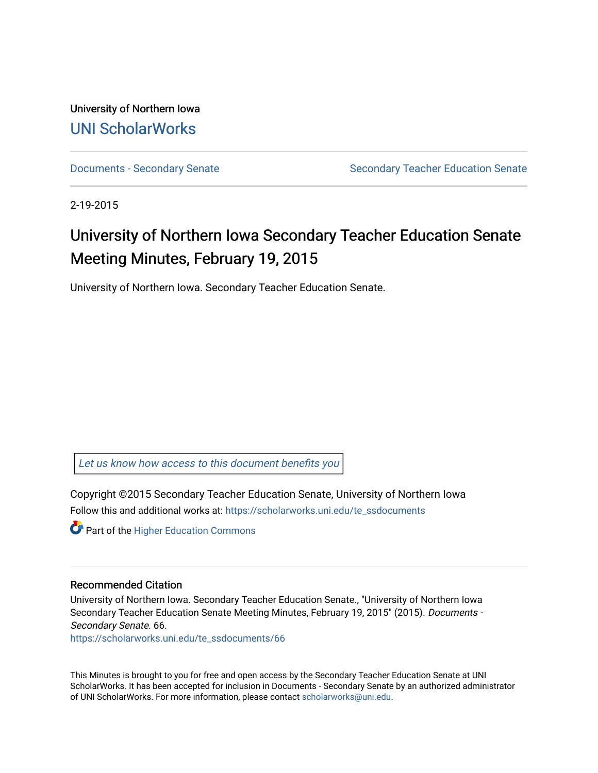University of Northern Iowa [UNI ScholarWorks](https://scholarworks.uni.edu/) 

[Documents - Secondary Senate](https://scholarworks.uni.edu/te_ssdocuments) Senate Secondary Teacher Education Senate

2-19-2015

# University of Northern Iowa Secondary Teacher Education Senate Meeting Minutes, February 19, 2015

University of Northern Iowa. Secondary Teacher Education Senate.

[Let us know how access to this document benefits you](https://scholarworks.uni.edu/feedback_form.html) 

Copyright ©2015 Secondary Teacher Education Senate, University of Northern Iowa Follow this and additional works at: [https://scholarworks.uni.edu/te\\_ssdocuments](https://scholarworks.uni.edu/te_ssdocuments?utm_source=scholarworks.uni.edu%2Fte_ssdocuments%2F66&utm_medium=PDF&utm_campaign=PDFCoverPages) 

**Part of the Higher Education Commons** 

#### Recommended Citation

University of Northern Iowa. Secondary Teacher Education Senate., "University of Northern Iowa Secondary Teacher Education Senate Meeting Minutes, February 19, 2015" (2015). Documents - Secondary Senate. 66.

[https://scholarworks.uni.edu/te\\_ssdocuments/66](https://scholarworks.uni.edu/te_ssdocuments/66?utm_source=scholarworks.uni.edu%2Fte_ssdocuments%2F66&utm_medium=PDF&utm_campaign=PDFCoverPages)

This Minutes is brought to you for free and open access by the Secondary Teacher Education Senate at UNI ScholarWorks. It has been accepted for inclusion in Documents - Secondary Senate by an authorized administrator of UNI ScholarWorks. For more information, please contact [scholarworks@uni.edu](mailto:scholarworks@uni.edu).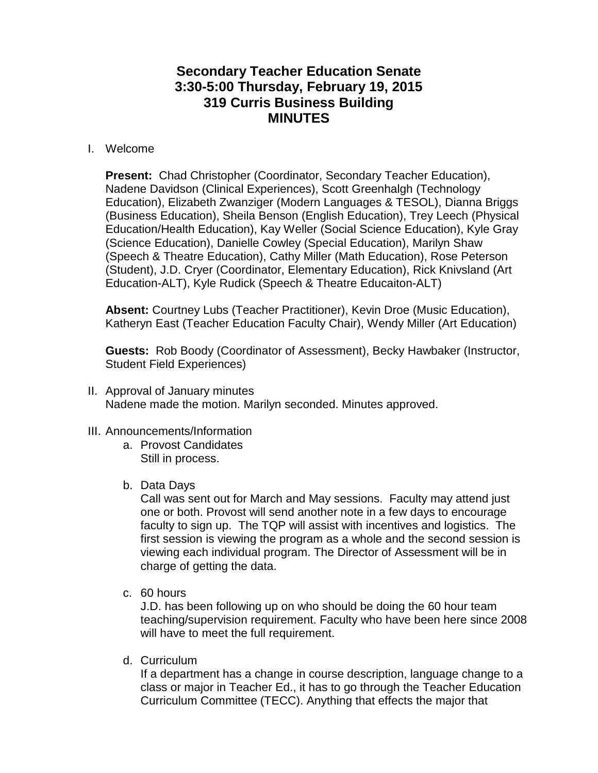# **Secondary Teacher Education Senate 3:30-5:00 Thursday, February 19, 2015 319 Curris Business Building MINUTES**

## I. Welcome

**Present:** Chad Christopher (Coordinator, Secondary Teacher Education), Nadene Davidson (Clinical Experiences), Scott Greenhalgh (Technology Education), Elizabeth Zwanziger (Modern Languages & TESOL), Dianna Briggs (Business Education), Sheila Benson (English Education), Trey Leech (Physical Education/Health Education), Kay Weller (Social Science Education), Kyle Gray (Science Education), Danielle Cowley (Special Education), Marilyn Shaw (Speech & Theatre Education), Cathy Miller (Math Education), Rose Peterson (Student), J.D. Cryer (Coordinator, Elementary Education), Rick Knivsland (Art Education-ALT), Kyle Rudick (Speech & Theatre Educaiton-ALT)

**Absent:** Courtney Lubs (Teacher Practitioner), Kevin Droe (Music Education), Katheryn East (Teacher Education Faculty Chair), Wendy Miller (Art Education)

**Guests:** Rob Boody (Coordinator of Assessment), Becky Hawbaker (Instructor, Student Field Experiences)

- II. Approval of January minutes Nadene made the motion. Marilyn seconded. Minutes approved.
- III. Announcements/Information
	- a. Provost Candidates Still in process.
	- b. Data Days

Call was sent out for March and May sessions. Faculty may attend just one or both. Provost will send another note in a few days to encourage faculty to sign up. The TQP will assist with incentives and logistics. The first session is viewing the program as a whole and the second session is viewing each individual program. The Director of Assessment will be in charge of getting the data.

c. 60 hours

J.D. has been following up on who should be doing the 60 hour team teaching/supervision requirement. Faculty who have been here since 2008 will have to meet the full requirement.

d. Curriculum

If a department has a change in course description, language change to a class or major in Teacher Ed., it has to go through the Teacher Education Curriculum Committee (TECC). Anything that effects the major that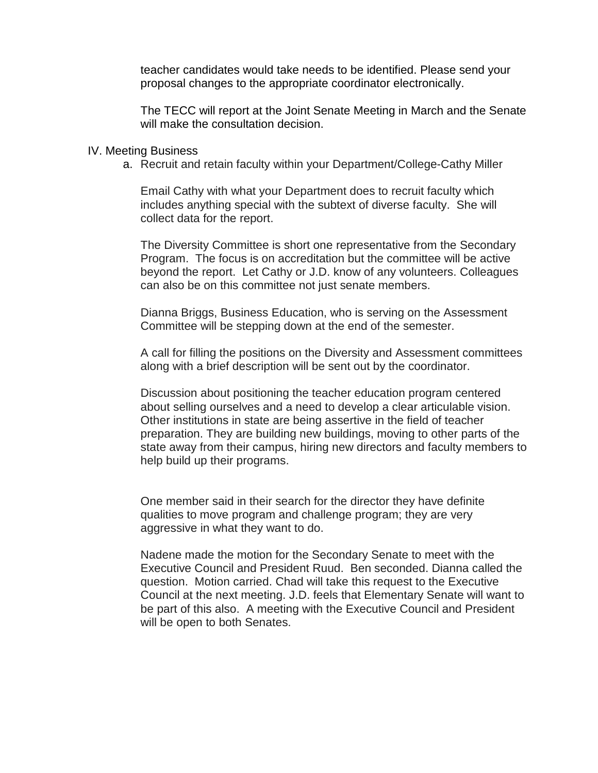teacher candidates would take needs to be identified. Please send your proposal changes to the appropriate coordinator electronically.

The TECC will report at the Joint Senate Meeting in March and the Senate will make the consultation decision.

#### IV. Meeting Business

a. Recruit and retain faculty within your Department/College-Cathy Miller

Email Cathy with what your Department does to recruit faculty which includes anything special with the subtext of diverse faculty. She will collect data for the report.

The Diversity Committee is short one representative from the Secondary Program. The focus is on accreditation but the committee will be active beyond the report. Let Cathy or J.D. know of any volunteers. Colleagues can also be on this committee not just senate members.

Dianna Briggs, Business Education, who is serving on the Assessment Committee will be stepping down at the end of the semester.

A call for filling the positions on the Diversity and Assessment committees along with a brief description will be sent out by the coordinator.

Discussion about positioning the teacher education program centered about selling ourselves and a need to develop a clear articulable vision. Other institutions in state are being assertive in the field of teacher preparation. They are building new buildings, moving to other parts of the state away from their campus, hiring new directors and faculty members to help build up their programs.

One member said in their search for the director they have definite qualities to move program and challenge program; they are very aggressive in what they want to do.

Nadene made the motion for the Secondary Senate to meet with the Executive Council and President Ruud. Ben seconded. Dianna called the question. Motion carried. Chad will take this request to the Executive Council at the next meeting. J.D. feels that Elementary Senate will want to be part of this also. A meeting with the Executive Council and President will be open to both Senates.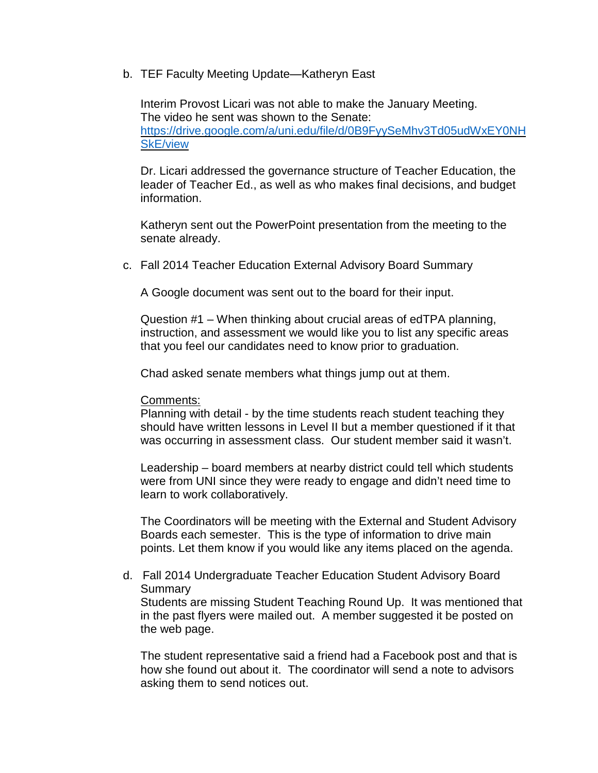b. TEF Faculty Meeting Update—Katheryn East

Interim Provost Licari was not able to make the January Meeting. The video he sent was shown to the Senate: [https://drive.google.com/a/uni.edu/file/d/0B9FyySeMhv3Td05udWxEY0NH](https://drive.google.com/a/uni.edu/file/d/0B9FyySeMhv3Td05udWxEY0NHSkE/view) [SkE/view](https://drive.google.com/a/uni.edu/file/d/0B9FyySeMhv3Td05udWxEY0NHSkE/view)

Dr. Licari addressed the governance structure of Teacher Education, the leader of Teacher Ed., as well as who makes final decisions, and budget information.

Katheryn sent out the PowerPoint presentation from the meeting to the senate already.

c. Fall 2014 Teacher Education External Advisory Board Summary

A Google document was sent out to the board for their input.

Question #1 – When thinking about crucial areas of edTPA planning, instruction, and assessment we would like you to list any specific areas that you feel our candidates need to know prior to graduation.

Chad asked senate members what things jump out at them.

### Comments:

Planning with detail - by the time students reach student teaching they should have written lessons in Level II but a member questioned if it that was occurring in assessment class. Our student member said it wasn't.

Leadership – board members at nearby district could tell which students were from UNI since they were ready to engage and didn't need time to learn to work collaboratively.

The Coordinators will be meeting with the External and Student Advisory Boards each semester. This is the type of information to drive main points. Let them know if you would like any items placed on the agenda.

d. Fall 2014 Undergraduate Teacher Education Student Advisory Board **Summary** Students are missing Student Teaching Round Up. It was mentioned that

in the past flyers were mailed out. A member suggested it be posted on the web page.

The student representative said a friend had a Facebook post and that is how she found out about it. The coordinator will send a note to advisors asking them to send notices out.